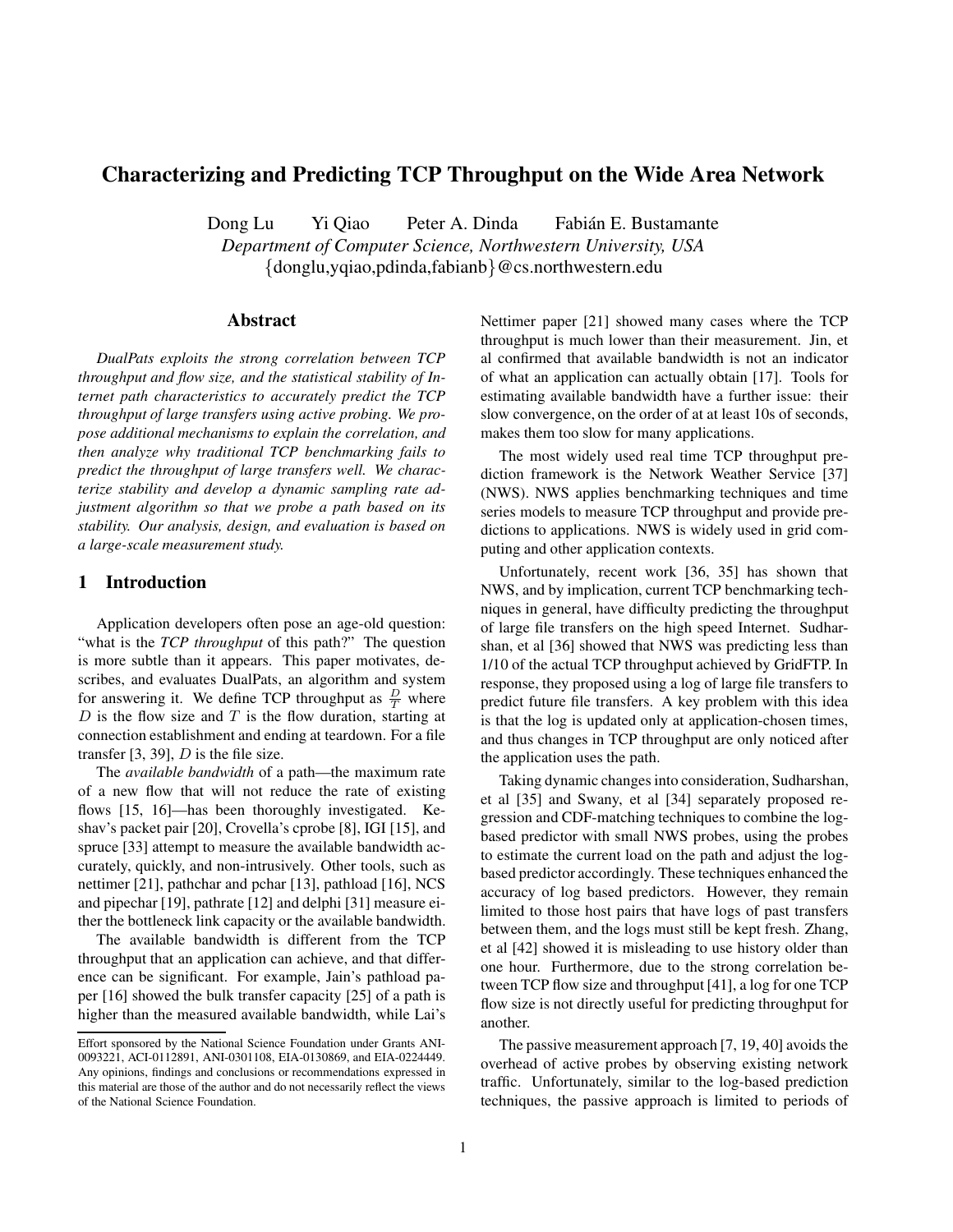# **Characterizing and Predicting TCP Throughput on the Wide Area Network**

Dong Lu Yi Qiao Peter A. Dinda Fabián E. Bustamante *Department of Computer Science, Northwestern University, USA*

{donglu,yqiao,pdinda,fabianb}@cs.northwestern.edu

## **Abstract**

*DualPats exploits the strong correlation between TCP throughput and flow size, and the statistical stability of Internet path characteristics to accurately predict the TCP throughput of large transfers using active probing. We propose additional mechanisms to explain the correlation, and then analyze why traditional TCP benchmarking fails to predict the throughput of large transfers well. We characterize stability and develop a dynamic sampling rate adjustment algorithm so that we probe a path based on its stability. Our analysis, design, and evaluation is based on a large-scale measurement study.*

# **1 Introduction**

Application developers often pose an age-old question: "what is the *TCP throughput* of this path?" The question is more subtle than it appears. This paper motivates, describes, and evaluates DualPats, an algorithm and system for answering it. We define TCP throughput as  $\frac{D}{T}$  where  $D$  is the flow size and  $T$  is the flow duration, starting at connection establishment and ending at teardown. For a file transfer [3, 39],  $D$  is the file size.

The *available bandwidth* of a path—the maximum rate of a new flow that will not reduce the rate of existing flows [15, 16]—has been thoroughly investigated. Keshav's packet pair [20], Crovella's cprobe [8], IGI [15], and spruce [33] attempt to measure the available bandwidth accurately, quickly, and non-intrusively. Other tools, such as nettimer [21], pathchar and pchar [13], pathload [16], NCS and pipechar [19], pathrate [12] and delphi [31] measure either the bottleneck link capacity or the available bandwidth.

The available bandwidth is different from the TCP throughput that an application can achieve, and that difference can be significant. For example, Jain's pathload paper [16] showed the bulk transfer capacity [25] of a path is higher than the measured available bandwidth, while Lai's Nettimer paper [21] showed many cases where the TCP throughput is much lower than their measurement. Jin, et al confirmed that available bandwidth is not an indicator of what an application can actually obtain [17]. Tools for estimating available bandwidth have a further issue: their slow convergence, on the order of at at least 10s of seconds, makes them too slow for many applications.

The most widely used real time TCP throughput prediction framework is the Network Weather Service [37] (NWS). NWS applies benchmarking techniques and time series models to measure TCP throughput and provide predictions to applications. NWS is widely used in grid computing and other application contexts.

Unfortunately, recent work [36, 35] has shown that NWS, and by implication, current TCP benchmarking techniques in general, have difficulty predicting the throughput of large file transfers on the high speed Internet. Sudharshan, et al [36] showed that NWS was predicting less than 1/10 of the actual TCP throughput achieved by GridFTP. In response, they proposed using a log of large file transfers to predict future file transfers. A key problem with this idea is that the log is updated only at application-chosen times, and thus changes in TCP throughput are only noticed after the application uses the path.

Taking dynamic changes into consideration, Sudharshan, et al [35] and Swany, et al [34] separately proposed regression and CDF-matching techniques to combine the logbased predictor with small NWS probes, using the probes to estimate the current load on the path and adjust the logbased predictor accordingly. These techniques enhanced the accuracy of log based predictors. However, they remain limited to those host pairs that have logs of past transfers between them, and the logs must still be kept fresh. Zhang, et al [42] showed it is misleading to use history older than one hour. Furthermore, due to the strong correlation between TCP flow size and throughput [41], a log for one TCP flow size is not directly useful for predicting throughput for another.

The passive measurement approach [7, 19, 40] avoids the overhead of active probes by observing existing network traffic. Unfortunately, similar to the log-based prediction techniques, the passive approach is limited to periods of

Effort sponsored by the National Science Foundation under Grants ANI-0093221, ACI-0112891, ANI-0301108, EIA-0130869, and EIA-0224449. Any opinions, findings and conclusions or recommendations expressed in this material are those of the author and do not necessarily reflect the views of the National Science Foundation.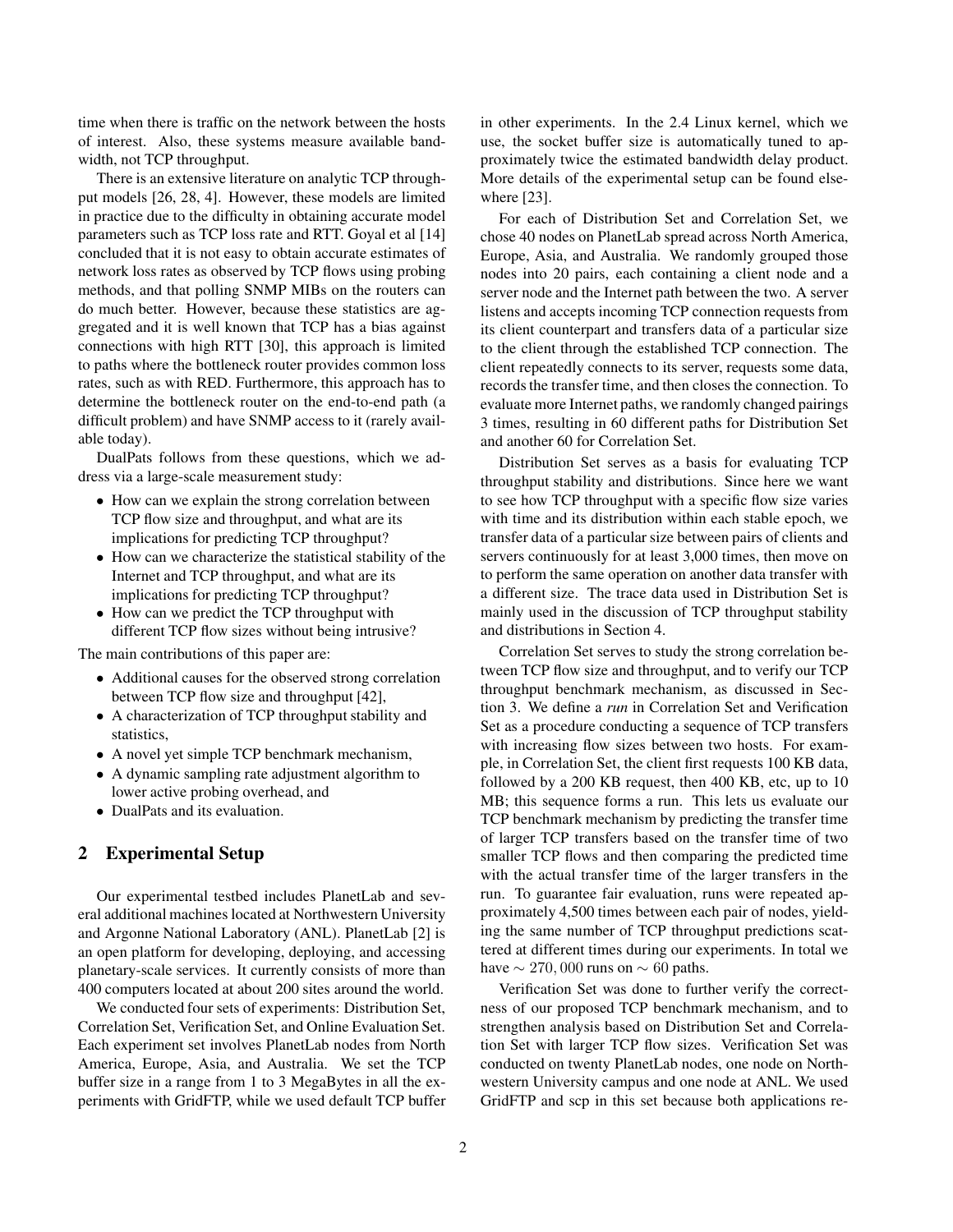time when there is traffic on the network between the hosts of interest. Also, these systems measure available bandwidth, not TCP throughput.

There is an extensive literature on analytic TCP throughput models [26, 28, 4]. However, these models are limited in practice due to the difficulty in obtaining accurate model parameters such as TCP loss rate and RTT. Goyal et al [14] concluded that it is not easy to obtain accurate estimates of network loss rates as observed by TCP flows using probing methods, and that polling SNMP MIBs on the routers can do much better. However, because these statistics are aggregated and it is well known that TCP has a bias against connections with high RTT [30], this approach is limited to paths where the bottleneck router provides common loss rates, such as with RED. Furthermore, this approach has to determine the bottleneck router on the end-to-end path (a difficult problem) and have SNMP access to it (rarely available today).

DualPats follows from these questions, which we address via a large-scale measurement study:

- How can we explain the strong correlation between TCP flow size and throughput, and what are its implications for predicting TCP throughput?
- How can we characterize the statistical stability of the Internet and TCP throughput, and what are its implications for predicting TCP throughput?
- How can we predict the TCP throughput with different TCP flow sizes without being intrusive?

The main contributions of this paper are:

- Additional causes for the observed strong correlation between TCP flow size and throughput [42],
- A characterization of TCP throughput stability and statistics,
- A novel yet simple TCP benchmark mechanism,
- A dynamic sampling rate adjustment algorithm to lower active probing overhead, and
- DualPats and its evaluation.

# **2 Experimental Setup**

Our experimental testbed includes PlanetLab and several additional machines located at Northwestern University and Argonne National Laboratory (ANL). PlanetLab [2] is an open platform for developing, deploying, and accessing planetary-scale services. It currently consists of more than 400 computers located at about 200 sites around the world.

We conducted four sets of experiments: Distribution Set, Correlation Set, Verification Set, and Online Evaluation Set. Each experiment set involves PlanetLab nodes from North America, Europe, Asia, and Australia. We set the TCP buffer size in a range from 1 to 3 MegaBytes in all the experiments with GridFTP, while we used default TCP buffer in other experiments. In the 2.4 Linux kernel, which we use, the socket buffer size is automatically tuned to approximately twice the estimated bandwidth delay product. More details of the experimental setup can be found elsewhere [23].

For each of Distribution Set and Correlation Set, we chose 40 nodes on PlanetLab spread across North America, Europe, Asia, and Australia. We randomly grouped those nodes into 20 pairs, each containing a client node and a server node and the Internet path between the two. A server listens and accepts incoming TCP connection requests from its client counterpart and transfers data of a particular size to the client through the established TCP connection. The client repeatedly connects to its server, requests some data, records the transfer time, and then closes the connection. To evaluate more Internet paths, we randomly changed pairings 3 times, resulting in 60 different paths for Distribution Set and another 60 for Correlation Set.

Distribution Set serves as a basis for evaluating TCP throughput stability and distributions. Since here we want to see how TCP throughput with a specific flow size varies with time and its distribution within each stable epoch, we transfer data of a particular size between pairs of clients and servers continuously for at least 3,000 times, then move on to perform the same operation on another data transfer with a different size. The trace data used in Distribution Set is mainly used in the discussion of TCP throughput stability and distributions in Section 4.

Correlation Set serves to study the strong correlation between TCP flow size and throughput, and to verify our TCP throughput benchmark mechanism, as discussed in Section 3. We define a *run* in Correlation Set and Verification Set as a procedure conducting a sequence of TCP transfers with increasing flow sizes between two hosts. For example, in Correlation Set, the client first requests 100 KB data, followed by a 200 KB request, then 400 KB, etc, up to 10 MB; this sequence forms a run. This lets us evaluate our TCP benchmark mechanism by predicting the transfer time of larger TCP transfers based on the transfer time of two smaller TCP flows and then comparing the predicted time with the actual transfer time of the larger transfers in the run. To guarantee fair evaluation, runs were repeated approximately 4,500 times between each pair of nodes, yielding the same number of TCP throughput predictions scattered at different times during our experiments. In total we have  $\sim$  270, 000 runs on  $\sim$  60 paths.

Verification Set was done to further verify the correctness of our proposed TCP benchmark mechanism, and to strengthen analysis based on Distribution Set and Correlation Set with larger TCP flow sizes. Verification Set was conducted on twenty PlanetLab nodes, one node on Northwestern University campus and one node at ANL. We used GridFTP and scp in this set because both applications re-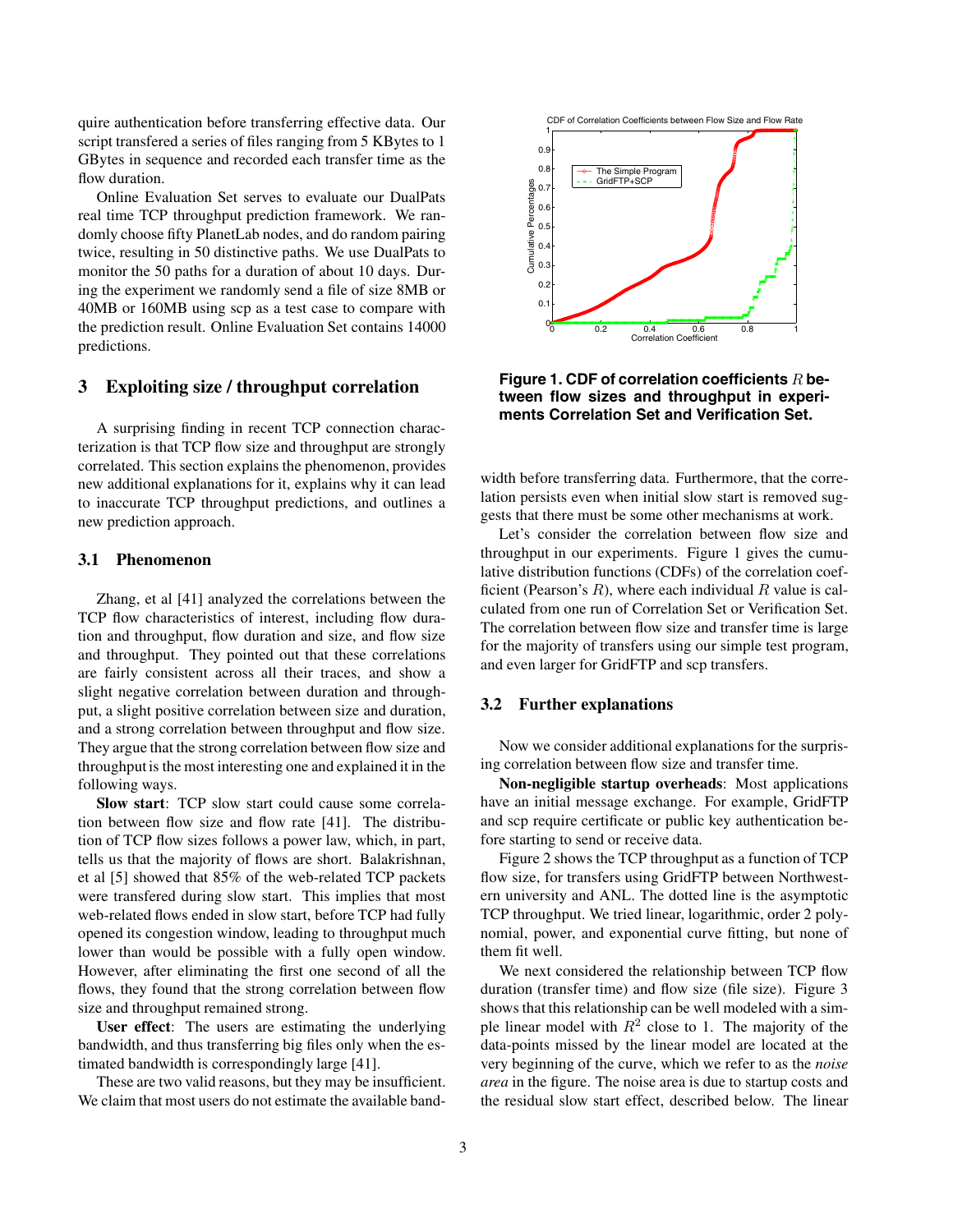quire authentication before transferring effective data. Our script transfered a series of files ranging from 5 KBytes to 1 GBytes in sequence and recorded each transfer time as the flow duration.

Online Evaluation Set serves to evaluate our DualPats real time TCP throughput prediction framework. We randomly choose fifty PlanetLab nodes, and do random pairing twice, resulting in 50 distinctive paths. We use DualPats to monitor the 50 paths for a duration of about 10 days. During the experiment we randomly send a file of size 8MB or 40MB or 160MB using scp as a test case to compare with the prediction result. Online Evaluation Set contains 14000 predictions.

# **3 Exploiting size / throughput correlation**

A surprising finding in recent TCP connection characterization is that TCP flow size and throughput are strongly correlated. This section explains the phenomenon, provides new additional explanations for it, explains why it can lead to inaccurate TCP throughput predictions, and outlines a new prediction approach.

#### **3.1 Phenomenon**

Zhang, et al [41] analyzed the correlations between the TCP flow characteristics of interest, including flow duration and throughput, flow duration and size, and flow size and throughput. They pointed out that these correlations are fairly consistent across all their traces, and show a slight negative correlation between duration and throughput, a slight positive correlation between size and duration, and a strong correlation between throughput and flow size. They argue that the strong correlation between flow size and throughput is the most interesting one and explained it in the following ways.

**Slow start**: TCP slow start could cause some correlation between flow size and flow rate [41]. The distribution of TCP flow sizes follows a power law, which, in part, tells us that the majority of flows are short. Balakrishnan, et al [5] showed that 85% of the web-related TCP packets were transfered during slow start. This implies that most web-related flows ended in slow start, before TCP had fully opened its congestion window, leading to throughput much lower than would be possible with a fully open window. However, after eliminating the first one second of all the flows, they found that the strong correlation between flow size and throughput remained strong.

**User effect**: The users are estimating the underlying bandwidth, and thus transferring big files only when the estimated bandwidth is correspondingly large [41].

These are two valid reasons, but they may be insufficient. We claim that most users do not estimate the available band-



**Figure 1. CDF of correlation coefficients** R **between flow sizes and throughput in experiments Correlation Set and Verification Set.**

width before transferring data. Furthermore, that the correlation persists even when initial slow start is removed suggests that there must be some other mechanisms at work.

Let's consider the correlation between flow size and throughput in our experiments. Figure 1 gives the cumulative distribution functions (CDFs) of the correlation coefficient (Pearson's  $R$ ), where each individual  $R$  value is calculated from one run of Correlation Set or Verification Set. The correlation between flow size and transfer time is large for the majority of transfers using our simple test program, and even larger for GridFTP and scp transfers.

## **3.2 Further explanations**

Now we consider additional explanations for the surprising correlation between flow size and transfer time.

**Non-negligible startup overheads**: Most applications have an initial message exchange. For example, GridFTP and scp require certificate or public key authentication before starting to send or receive data.

Figure 2 shows the TCP throughput as a function of TCP flow size, for transfers using GridFTP between Northwestern university and ANL. The dotted line is the asymptotic TCP throughput. We tried linear, logarithmic, order 2 polynomial, power, and exponential curve fitting, but none of them fit well.

We next considered the relationship between TCP flow duration (transfer time) and flow size (file size). Figure 3 shows that this relationship can be well modeled with a simple linear model with  $R^2$  close to 1. The majority of the data-points missed by the linear model are located at the very beginning of the curve, which we refer to as the *noise area* in the figure. The noise area is due to startup costs and the residual slow start effect, described below. The linear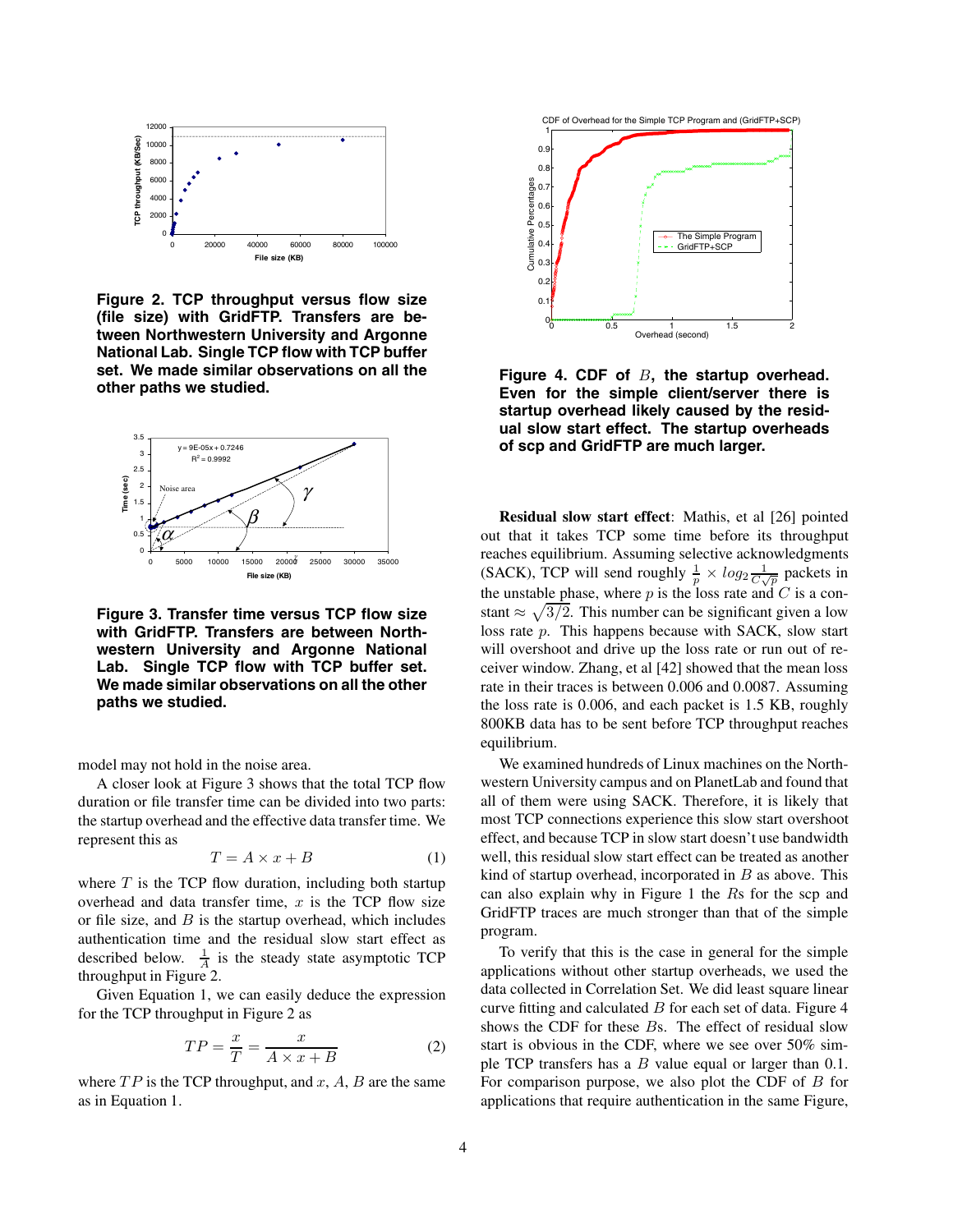

**Figure 2. TCP throughput versus flow size (file size) with GridFTP. Transfers are between Northwestern University and Argonne National Lab. Single TCP flow with TCP buffer set. We made similar observations on all the other paths we studied.**



**Figure 3. Transfer time versus TCP flow size with GridFTP. Transfers are between Northwestern University and Argonne National Lab. Single TCP flow with TCP buffer set. We made similar observations on all the other paths we studied.**

model may not hold in the noise area.

A closer look at Figure 3 shows that the total TCP flow duration or file transfer time can be divided into two parts: the startup overhead and the effective data transfer time. We represent this as

$$
T = A \times x + B \tag{1}
$$

where  $T$  is the TCP flow duration, including both startup overhead and data transfer time,  $x$  is the TCP flow size or file size, and  $B$  is the startup overhead, which includes authentication time and the residual slow start effect as described below.  $\frac{1}{A}$  is the steady state asymptotic TCP throughput in Figure 2.

Given Equation 1, we can easily deduce the expression for the TCP throughput in Figure 2 as

$$
TP = \frac{x}{T} = \frac{x}{A \times x + B} \tag{2}
$$

where  $TP$  is the TCP throughput, and  $x$ ,  $A$ ,  $B$  are the same as in Equation 1.



Figure 4. CDF of B, the startup overhead. **Even for the simple client/server there is startup overhead likely caused by the residual slow start effect. The startup overheads of scp and GridFTP are much larger.**

**Residual slow start effect**: Mathis, et al [26] pointed out that it takes TCP some time before its throughput reaches equilibrium. Assuming selective acknowledgments (SACK), TCP will send roughly  $\frac{1}{p} \times log_2 \frac{1}{C\sqrt{p}}$  packets in the unstable phase, where  $p$  is the loss rate and  $C$  is a constant  $\approx \sqrt{3/2}$ . This number can be significant given a low loss rate p. This happens because with SACK, slow start will overshoot and drive up the loss rate or run out of receiver window. Zhang, et al [42] showed that the mean loss rate in their traces is between 0.006 and 0.0087. Assuming the loss rate is 0.006, and each packet is 1.5 KB, roughly 800KB data has to be sent before TCP throughput reaches equilibrium.

We examined hundreds of Linux machines on the Northwestern University campus and on PlanetLab and found that all of them were using SACK. Therefore, it is likely that most TCP connections experience this slow start overshoot effect, and because TCP in slow start doesn't use bandwidth well, this residual slow start effect can be treated as another kind of startup overhead, incorporated in  $B$  as above. This can also explain why in Figure 1 the Rs for the scp and GridFTP traces are much stronger than that of the simple program.

To verify that this is the case in general for the simple applications without other startup overheads, we used the data collected in Correlation Set. We did least square linear curve fitting and calculated  $B$  for each set of data. Figure 4 shows the CDF for these Bs. The effect of residual slow start is obvious in the CDF, where we see over 50% simple TCP transfers has a  $B$  value equal or larger than 0.1. For comparison purpose, we also plot the CDF of  $B$  for applications that require authentication in the same Figure,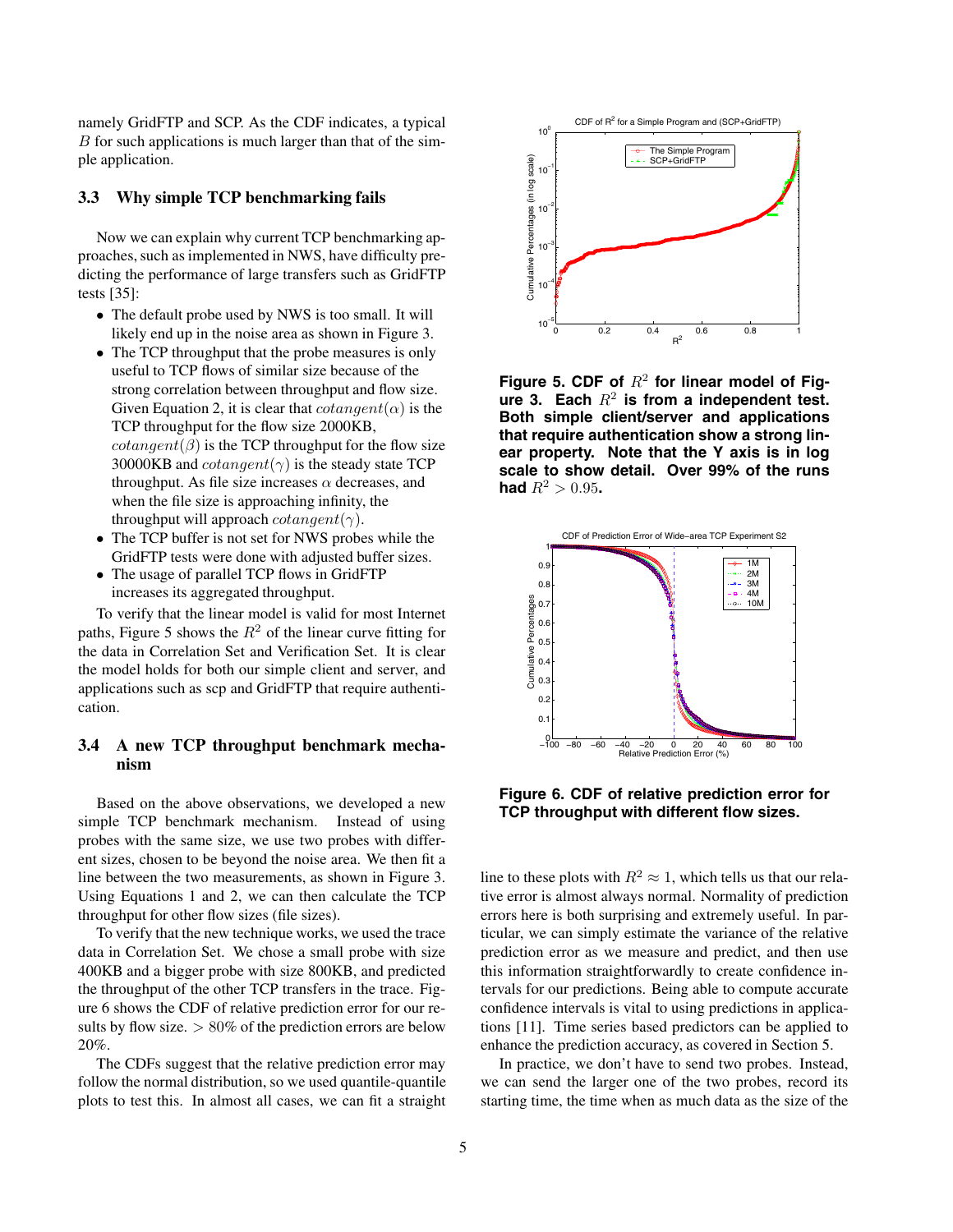namely GridFTP and SCP. As the CDF indicates, a typical  $B$  for such applications is much larger than that of the simple application.

### **3.3 Why simple TCP benchmarking fails**

Now we can explain why current TCP benchmarking approaches, such as implemented in NWS, have difficulty predicting the performance of large transfers such as GridFTP tests [35]:

- The default probe used by NWS is too small. It will likely end up in the noise area as shown in Figure 3.
- The TCP throughput that the probe measures is only useful to TCP flows of similar size because of the strong correlation between throughput and flow size. Given Equation 2, it is clear that  $cotangent(\alpha)$  is the TCP throughput for the flow size 2000KB,  $cotangent(\beta)$  is the TCP throughput for the flow size 30000KB and  $cotangent(\gamma)$  is the steady state TCP throughput. As file size increases  $\alpha$  decreases, and when the file size is approaching infinity, the throughput will approach  $cotangent(\gamma)$ .
- The TCP buffer is not set for NWS probes while the GridFTP tests were done with adjusted buffer sizes.
- The usage of parallel TCP flows in GridFTP increases its aggregated throughput.

To verify that the linear model is valid for most Internet paths, Figure 5 shows the  $R^2$  of the linear curve fitting for the data in Correlation Set and Verification Set. It is clear the model holds for both our simple client and server, and applications such as scp and GridFTP that require authentication.

# **3.4 A new TCP throughput benchmark mechanism**

Based on the above observations, we developed a new simple TCP benchmark mechanism. Instead of using probes with the same size, we use two probes with different sizes, chosen to be beyond the noise area. We then fit a line between the two measurements, as shown in Figure 3. Using Equations 1 and 2, we can then calculate the TCP throughput for other flow sizes (file sizes).

To verify that the new technique works, we used the trace data in Correlation Set. We chose a small probe with size 400KB and a bigger probe with size 800KB, and predicted the throughput of the other TCP transfers in the trace. Figure 6 shows the CDF of relative prediction error for our results by flow size.  $> 80\%$  of the prediction errors are below 20%.

The CDFs suggest that the relative prediction error may follow the normal distribution, so we used quantile-quantile plots to test this. In almost all cases, we can fit a straight



Figure 5. CDF of  $R^2$  for linear model of Figure 3. Each  $R^2$  is from a independent test. **Both simple client/server and applications that require authentication show a strong linear property. Note that the Y axis is in log scale to show detail. Over 99% of the runs had**  $R^2 > 0.95$ .



**Figure 6. CDF of relative prediction error for TCP throughput with different flow sizes.**

line to these plots with  $R^2 \approx 1$ , which tells us that our relative error is almost always normal. Normality of prediction errors here is both surprising and extremely useful. In particular, we can simply estimate the variance of the relative prediction error as we measure and predict, and then use this information straightforwardly to create confidence intervals for our predictions. Being able to compute accurate confidence intervals is vital to using predictions in applications [11]. Time series based predictors can be applied to enhance the prediction accuracy, as covered in Section 5.

In practice, we don't have to send two probes. Instead, we can send the larger one of the two probes, record its starting time, the time when as much data as the size of the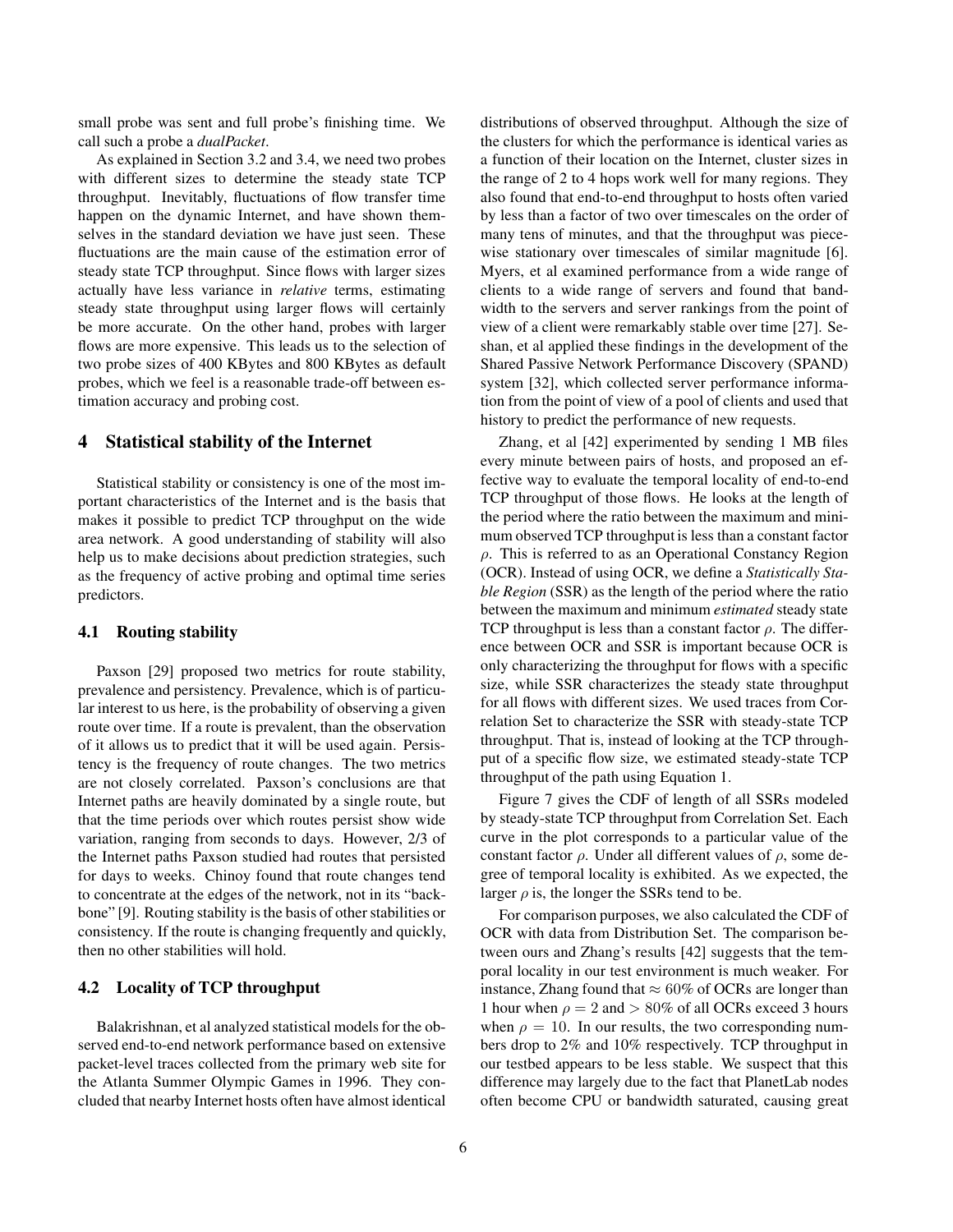small probe was sent and full probe's finishing time. We call such a probe a *dualPacket*.

As explained in Section 3.2 and 3.4, we need two probes with different sizes to determine the steady state TCP throughput. Inevitably, fluctuations of flow transfer time happen on the dynamic Internet, and have shown themselves in the standard deviation we have just seen. These fluctuations are the main cause of the estimation error of steady state TCP throughput. Since flows with larger sizes actually have less variance in *relative* terms, estimating steady state throughput using larger flows will certainly be more accurate. On the other hand, probes with larger flows are more expensive. This leads us to the selection of two probe sizes of 400 KBytes and 800 KBytes as default probes, which we feel is a reasonable trade-off between estimation accuracy and probing cost.

### **4 Statistical stability of the Internet**

Statistical stability or consistency is one of the most important characteristics of the Internet and is the basis that makes it possible to predict TCP throughput on the wide area network. A good understanding of stability will also help us to make decisions about prediction strategies, such as the frequency of active probing and optimal time series predictors.

# **4.1 Routing stability**

Paxson [29] proposed two metrics for route stability, prevalence and persistency. Prevalence, which is of particular interest to us here, is the probability of observing a given route over time. If a route is prevalent, than the observation of it allows us to predict that it will be used again. Persistency is the frequency of route changes. The two metrics are not closely correlated. Paxson's conclusions are that Internet paths are heavily dominated by a single route, but that the time periods over which routes persist show wide variation, ranging from seconds to days. However, 2/3 of the Internet paths Paxson studied had routes that persisted for days to weeks. Chinoy found that route changes tend to concentrate at the edges of the network, not in its "backbone" [9]. Routing stability is the basis of other stabilities or consistency. If the route is changing frequently and quickly, then no other stabilities will hold.

### **4.2 Locality of TCP throughput**

Balakrishnan, et al analyzed statistical models for the observed end-to-end network performance based on extensive packet-level traces collected from the primary web site for the Atlanta Summer Olympic Games in 1996. They concluded that nearby Internet hosts often have almost identical distributions of observed throughput. Although the size of the clusters for which the performance is identical varies as a function of their location on the Internet, cluster sizes in the range of 2 to 4 hops work well for many regions. They also found that end-to-end throughput to hosts often varied by less than a factor of two over timescales on the order of many tens of minutes, and that the throughput was piecewise stationary over timescales of similar magnitude [6]. Myers, et al examined performance from a wide range of clients to a wide range of servers and found that bandwidth to the servers and server rankings from the point of view of a client were remarkably stable over time [27]. Seshan, et al applied these findings in the development of the Shared Passive Network Performance Discovery (SPAND) system [32], which collected server performance information from the point of view of a pool of clients and used that history to predict the performance of new requests.

Zhang, et al [42] experimented by sending 1 MB files every minute between pairs of hosts, and proposed an effective way to evaluate the temporal locality of end-to-end TCP throughput of those flows. He looks at the length of the period where the ratio between the maximum and minimum observed TCP throughput is less than a constant factor  $\rho$ . This is referred to as an Operational Constancy Region (OCR). Instead of using OCR, we define a *Statistically Stable Region* (SSR) as the length of the period where the ratio between the maximum and minimum *estimated* steady state TCP throughput is less than a constant factor  $\rho$ . The difference between OCR and SSR is important because OCR is only characterizing the throughput for flows with a specific size, while SSR characterizes the steady state throughput for all flows with different sizes. We used traces from Correlation Set to characterize the SSR with steady-state TCP throughput. That is, instead of looking at the TCP throughput of a specific flow size, we estimated steady-state TCP throughput of the path using Equation 1.

Figure 7 gives the CDF of length of all SSRs modeled by steady-state TCP throughput from Correlation Set. Each curve in the plot corresponds to a particular value of the constant factor  $\rho$ . Under all different values of  $\rho$ , some degree of temporal locality is exhibited. As we expected, the larger  $\rho$  is, the longer the SSRs tend to be.

For comparison purposes, we also calculated the CDF of OCR with data from Distribution Set. The comparison between ours and Zhang's results [42] suggests that the temporal locality in our test environment is much weaker. For instance, Zhang found that  $\approx 60\%$  of OCRs are longer than 1 hour when  $\rho = 2$  and  $> 80\%$  of all OCRs exceed 3 hours when  $\rho = 10$ . In our results, the two corresponding numbers drop to 2% and 10% respectively. TCP throughput in our testbed appears to be less stable. We suspect that this difference may largely due to the fact that PlanetLab nodes often become CPU or bandwidth saturated, causing great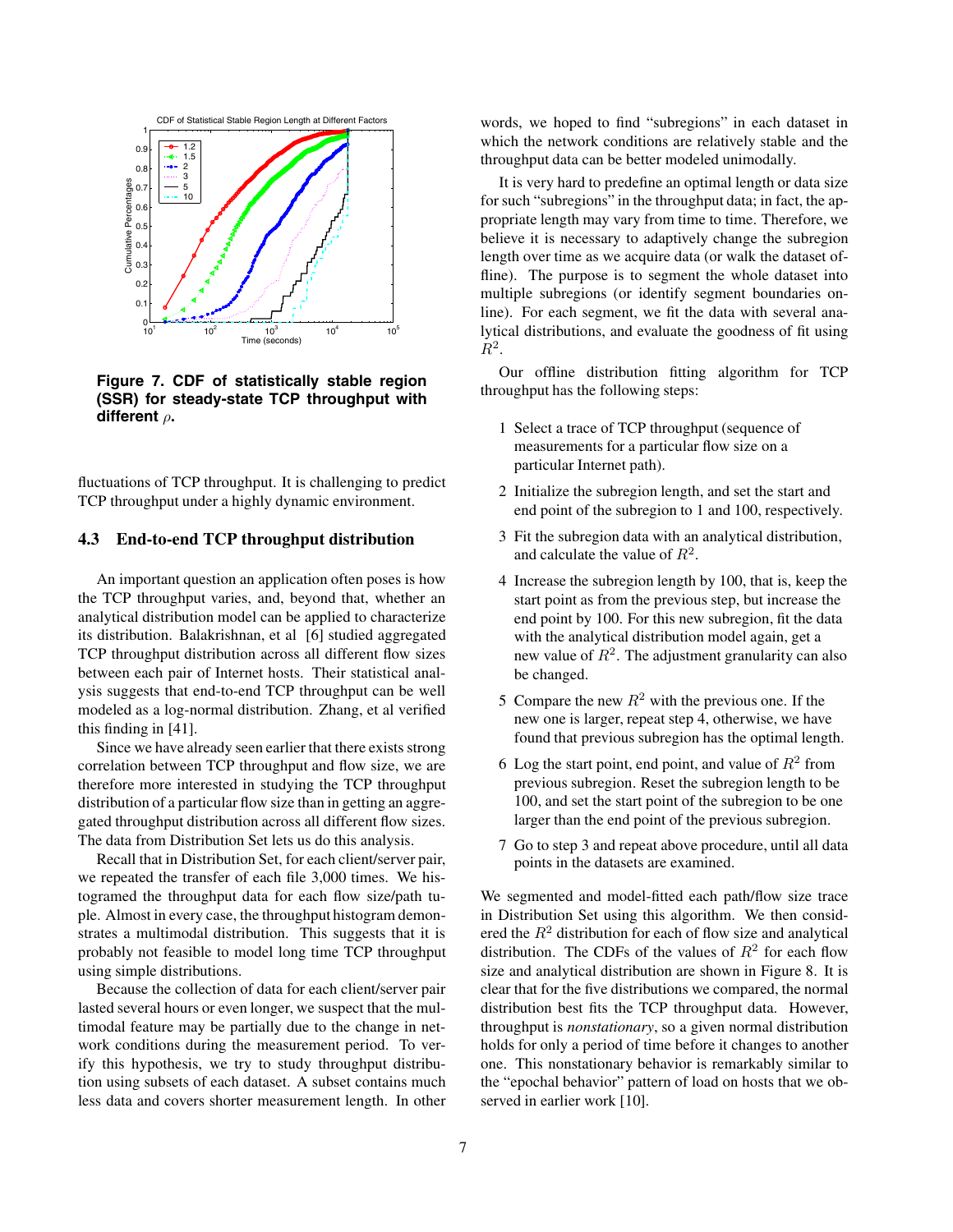

**Figure 7. CDF of statistically stable region (SSR) for steady-state TCP throughput with different** ρ**.**

fluctuations of TCP throughput. It is challenging to predict TCP throughput under a highly dynamic environment.

# **4.3 End-to-end TCP throughput distribution**

An important question an application often poses is how the TCP throughput varies, and, beyond that, whether an analytical distribution model can be applied to characterize its distribution. Balakrishnan, et al [6] studied aggregated TCP throughput distribution across all different flow sizes between each pair of Internet hosts. Their statistical analysis suggests that end-to-end TCP throughput can be well modeled as a log-normal distribution. Zhang, et al verified this finding in [41].

Since we have already seen earlier that there exists strong correlation between TCP throughput and flow size, we are therefore more interested in studying the TCP throughput distribution of a particular flow size than in getting an aggregated throughput distribution across all different flow sizes. The data from Distribution Set lets us do this analysis.

Recall that in Distribution Set, for each client/server pair, we repeated the transfer of each file 3,000 times. We histogramed the throughput data for each flow size/path tuple. Almost in every case, the throughput histogram demonstrates a multimodal distribution. This suggests that it is probably not feasible to model long time TCP throughput using simple distributions.

Because the collection of data for each client/server pair lasted several hours or even longer, we suspect that the multimodal feature may be partially due to the change in network conditions during the measurement period. To verify this hypothesis, we try to study throughput distribution using subsets of each dataset. A subset contains much less data and covers shorter measurement length. In other

words, we hoped to find "subregions" in each dataset in which the network conditions are relatively stable and the throughput data can be better modeled unimodally.

It is very hard to predefine an optimal length or data size for such "subregions" in the throughput data; in fact, the appropriate length may vary from time to time. Therefore, we believe it is necessary to adaptively change the subregion length over time as we acquire data (or walk the dataset offline). The purpose is to segment the whole dataset into multiple subregions (or identify segment boundaries online). For each segment, we fit the data with several analytical distributions, and evaluate the goodness of fit using  $R^2$ .

Our offline distribution fitting algorithm for TCP throughput has the following steps:

- 1 Select a trace of TCP throughput (sequence of measurements for a particular flow size on a particular Internet path).
- 2 Initialize the subregion length, and set the start and end point of the subregion to 1 and 100, respectively.
- 3 Fit the subregion data with an analytical distribution, and calculate the value of  $R^2$ .
- 4 Increase the subregion length by 100, that is, keep the start point as from the previous step, but increase the end point by 100. For this new subregion, fit the data with the analytical distribution model again, get a new value of  $R^2$ . The adjustment granularity can also be changed.
- 5 Compare the new  $R^2$  with the previous one. If the new one is larger, repeat step 4, otherwise, we have found that previous subregion has the optimal length.
- 6 Log the start point, end point, and value of  $R^2$  from previous subregion. Reset the subregion length to be 100, and set the start point of the subregion to be one larger than the end point of the previous subregion.
- 7 Go to step 3 and repeat above procedure, until all data points in the datasets are examined.

We segmented and model-fitted each path/flow size trace in Distribution Set using this algorithm. We then considered the  $R<sup>2</sup>$  distribution for each of flow size and analytical distribution. The CDFs of the values of  $R^2$  for each flow size and analytical distribution are shown in Figure 8. It is clear that for the five distributions we compared, the normal distribution best fits the TCP throughput data. However, throughput is *nonstationary*, so a given normal distribution holds for only a period of time before it changes to another one. This nonstationary behavior is remarkably similar to the "epochal behavior" pattern of load on hosts that we observed in earlier work [10].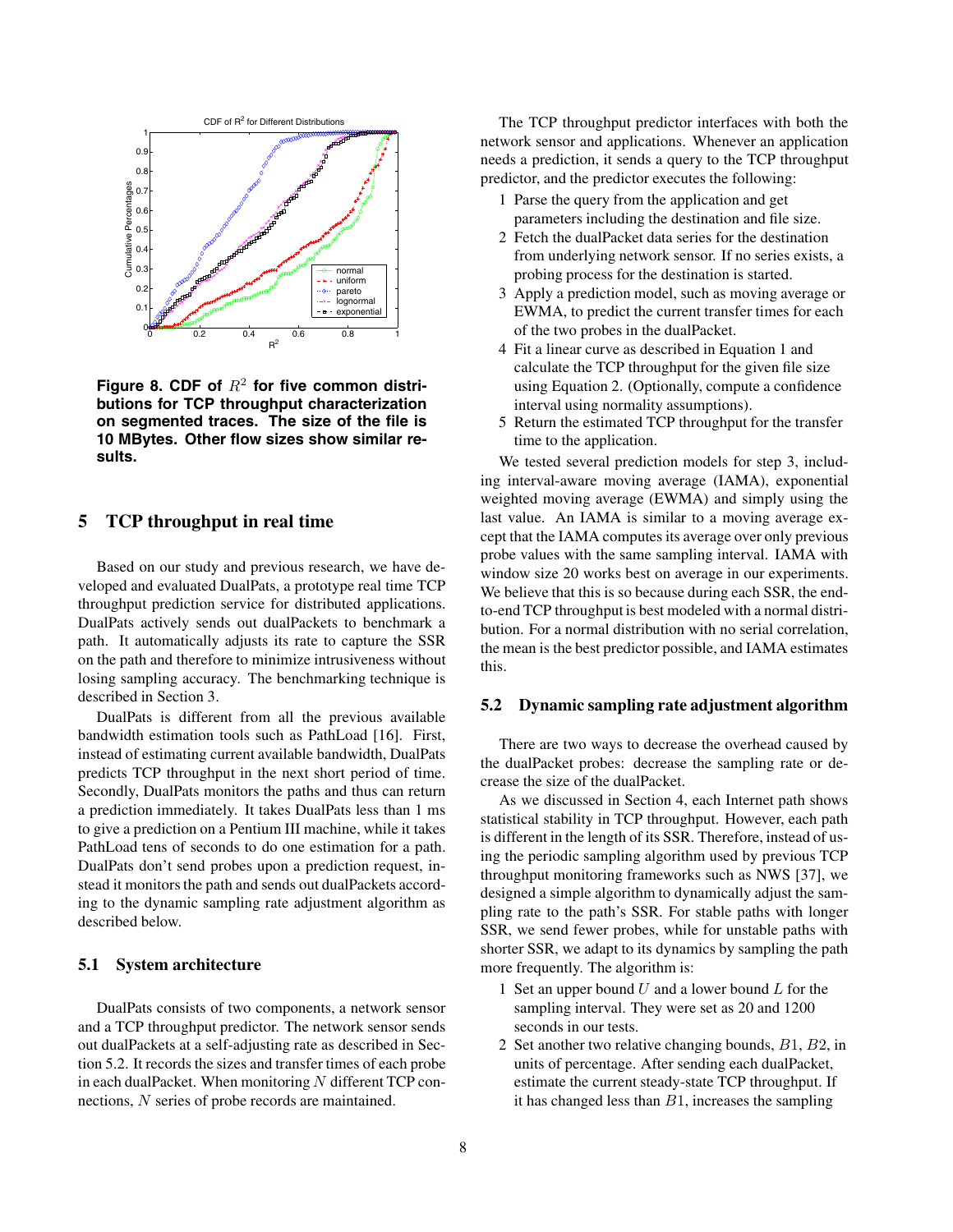

Figure 8. CDF of  $R^2$  for five common distri**butions for TCP throughput characterization on segmented traces. The size of the file is 10 MBytes. Other flow sizes show similar results.**

# **5 TCP throughput in real time**

Based on our study and previous research, we have developed and evaluated DualPats, a prototype real time TCP throughput prediction service for distributed applications. DualPats actively sends out dualPackets to benchmark a path. It automatically adjusts its rate to capture the SSR on the path and therefore to minimize intrusiveness without losing sampling accuracy. The benchmarking technique is described in Section 3.

DualPats is different from all the previous available bandwidth estimation tools such as PathLoad [16]. First, instead of estimating current available bandwidth, DualPats predicts TCP throughput in the next short period of time. Secondly, DualPats monitors the paths and thus can return a prediction immediately. It takes DualPats less than 1 ms to give a prediction on a Pentium III machine, while it takes PathLoad tens of seconds to do one estimation for a path. DualPats don't send probes upon a prediction request, instead it monitors the path and sends out dualPackets according to the dynamic sampling rate adjustment algorithm as described below.

# **5.1 System architecture**

DualPats consists of two components, a network sensor and a TCP throughput predictor. The network sensor sends out dualPackets at a self-adjusting rate as described in Section 5.2. It records the sizes and transfer times of each probe in each dualPacket. When monitoring  $N$  different TCP connections, N series of probe records are maintained.

The TCP throughput predictor interfaces with both the network sensor and applications. Whenever an application needs a prediction, it sends a query to the TCP throughput predictor, and the predictor executes the following:

- 1 Parse the query from the application and get parameters including the destination and file size.
- 2 Fetch the dualPacket data series for the destination from underlying network sensor. If no series exists, a probing process for the destination is started.
- 3 Apply a prediction model, such as moving average or EWMA, to predict the current transfer times for each of the two probes in the dualPacket.
- 4 Fit a linear curve as described in Equation 1 and calculate the TCP throughput for the given file size using Equation 2. (Optionally, compute a confidence interval using normality assumptions).
- 5 Return the estimated TCP throughput for the transfer time to the application.

We tested several prediction models for step 3, including interval-aware moving average (IAMA), exponential weighted moving average (EWMA) and simply using the last value. An IAMA is similar to a moving average except that the IAMA computes its average over only previous probe values with the same sampling interval. IAMA with window size 20 works best on average in our experiments. We believe that this is so because during each SSR, the endto-end TCP throughput is best modeled with a normal distribution. For a normal distribution with no serial correlation, the mean is the best predictor possible, and IAMA estimates this.

#### **5.2 Dynamic sampling rate adjustment algorithm**

There are two ways to decrease the overhead caused by the dualPacket probes: decrease the sampling rate or decrease the size of the dualPacket.

As we discussed in Section 4, each Internet path shows statistical stability in TCP throughput. However, each path is different in the length of its SSR. Therefore, instead of using the periodic sampling algorithm used by previous TCP throughput monitoring frameworks such as NWS [37], we designed a simple algorithm to dynamically adjust the sampling rate to the path's SSR. For stable paths with longer SSR, we send fewer probes, while for unstable paths with shorter SSR, we adapt to its dynamics by sampling the path more frequently. The algorithm is:

- 1 Set an upper bound  $U$  and a lower bound  $L$  for the sampling interval. They were set as 20 and 1200 seconds in our tests.
- 2 Set another two relative changing bounds, B1, B2, in units of percentage. After sending each dualPacket, estimate the current steady-state TCP throughput. If it has changed less than  $B1$ , increases the sampling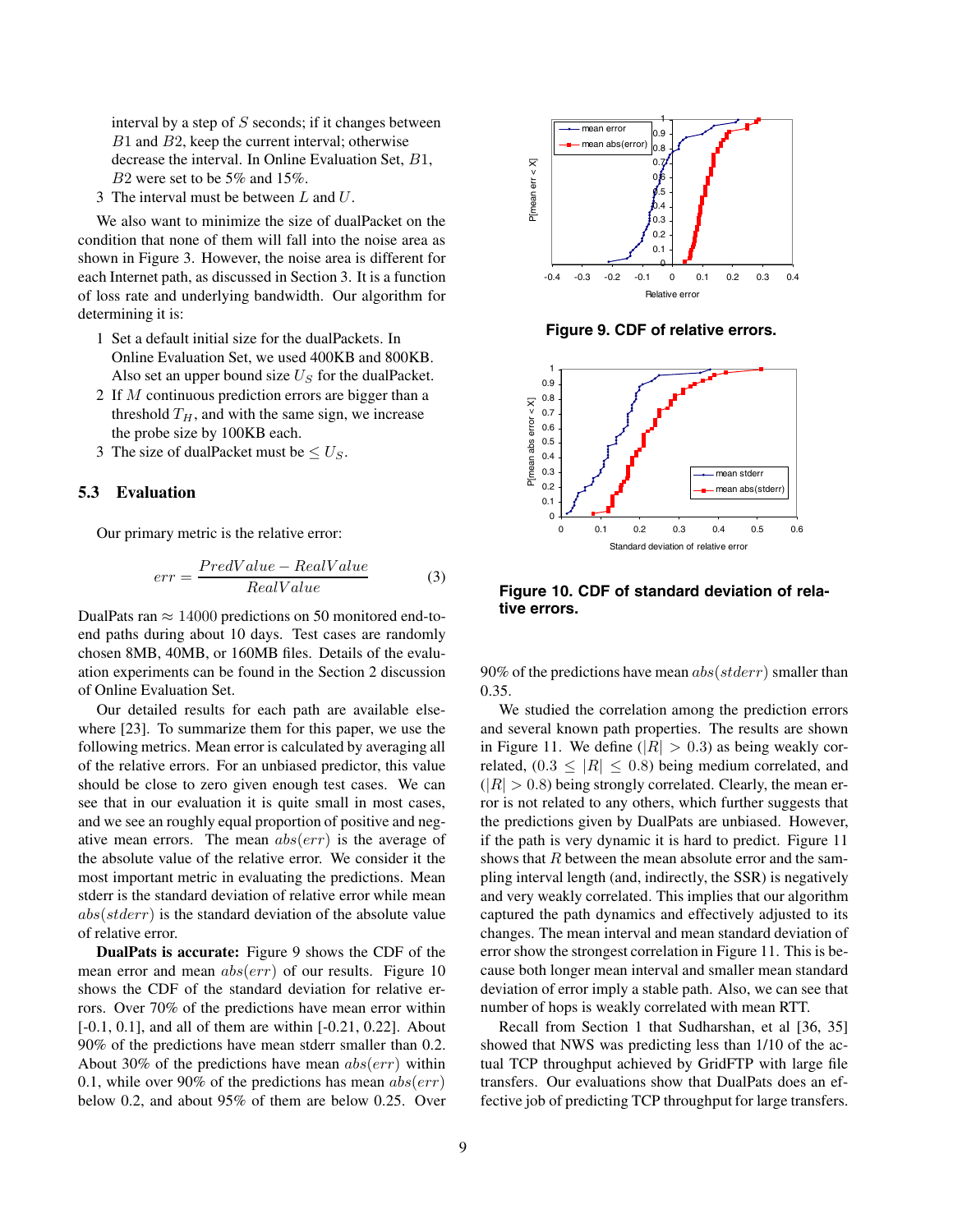interval by a step of  $S$  seconds; if it changes between B1 and B2, keep the current interval; otherwise decrease the interval. In Online Evaluation Set, B1, B2 were set to be 5% and 15%.

3 The interval must be between L and U.

We also want to minimize the size of dualPacket on the condition that none of them will fall into the noise area as shown in Figure 3. However, the noise area is different for each Internet path, as discussed in Section 3. It is a function of loss rate and underlying bandwidth. Our algorithm for determining it is:

- 1 Set a default initial size for the dualPackets. In Online Evaluation Set, we used 400KB and 800KB. Also set an upper bound size U*<sup>S</sup>* for the dualPacket.
- 2 If M continuous prediction errors are bigger than a threshold  $T_H$ , and with the same sign, we increase the probe size by 100KB each.
- 3 The size of dualPacket must be  $\leq U_s$ .

#### **5.3 Evaluation**

Our primary metric is the relative error:

$$
err = \frac{PredValue - RealValue}{RealValue} \tag{3}
$$

DualPats ran  $\approx 14000$  predictions on 50 monitored end-toend paths during about 10 days. Test cases are randomly chosen 8MB, 40MB, or 160MB files. Details of the evaluation experiments can be found in the Section 2 discussion of Online Evaluation Set.

Our detailed results for each path are available elsewhere [23]. To summarize them for this paper, we use the following metrics. Mean error is calculated by averaging all of the relative errors. For an unbiased predictor, this value should be close to zero given enough test cases. We can see that in our evaluation it is quite small in most cases, and we see an roughly equal proportion of positive and negative mean errors. The mean  $abs(err)$  is the average of the absolute value of the relative error. We consider it the most important metric in evaluating the predictions. Mean stderr is the standard deviation of relative error while mean  $abs (stderr)$  is the standard deviation of the absolute value of relative error.

**DualPats is accurate:** Figure 9 shows the CDF of the mean error and mean  $abs(err)$  of our results. Figure 10 shows the CDF of the standard deviation for relative errors. Over 70% of the predictions have mean error within [-0.1, 0.1], and all of them are within [-0.21, 0.22]. About 90% of the predictions have mean stderr smaller than 0.2. About 30% of the predictions have mean  $abs(err)$  within 0.1, while over 90% of the predictions has mean  $abs(err)$ below 0.2, and about 95% of them are below 0.25. Over



**Figure 9. CDF of relative errors.**



**Figure 10. CDF of standard deviation of relative errors.**

90% of the predictions have mean  $abs(staterr)$  smaller than 0.35.

We studied the correlation among the prediction errors and several known path properties. The results are shown in Figure 11. We define ( $|R| > 0.3$ ) as being weakly correlated,  $(0.3 \leq |R| \leq 0.8)$  being medium correlated, and  $(|R| > 0.8)$  being strongly correlated. Clearly, the mean error is not related to any others, which further suggests that the predictions given by DualPats are unbiased. However, if the path is very dynamic it is hard to predict. Figure 11 shows that  $R$  between the mean absolute error and the sampling interval length (and, indirectly, the SSR) is negatively and very weakly correlated. This implies that our algorithm captured the path dynamics and effectively adjusted to its changes. The mean interval and mean standard deviation of error show the strongest correlation in Figure 11. This is because both longer mean interval and smaller mean standard deviation of error imply a stable path. Also, we can see that number of hops is weakly correlated with mean RTT.

Recall from Section 1 that Sudharshan, et al [36, 35] showed that NWS was predicting less than 1/10 of the actual TCP throughput achieved by GridFTP with large file transfers. Our evaluations show that DualPats does an effective job of predicting TCP throughput for large transfers.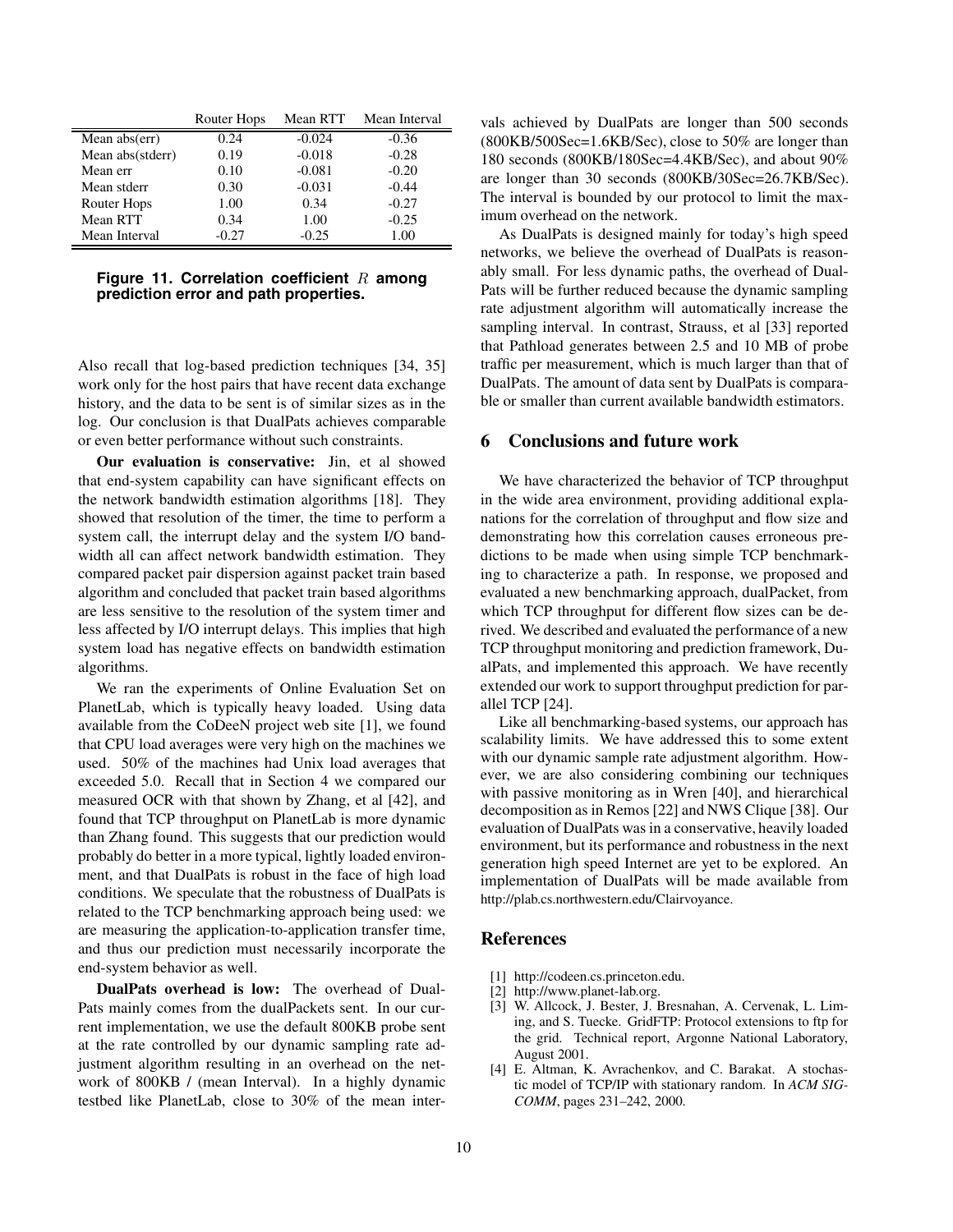|                  | Router Hops | Mean RTT | Mean Interval |
|------------------|-------------|----------|---------------|
| Mean $abs(err)$  | 0.24        | $-0.024$ | $-0.36$       |
| Mean abs(stderr) | 0.19        | $-0.018$ | $-0.28$       |
| Mean err         | 0.10        | $-0.081$ | $-0.20$       |
| Mean stderr      | 0.30        | $-0.031$ | $-0.44$       |
| Router Hops      | 1.00        | 0.34     | $-0.27$       |
| Mean RTT         | 0.34        | 1.00     | $-0.25$       |
| Mean Interval    | $-0.27$     | $-0.25$  | 1.00          |

#### **Figure 11. Correlation coefficient** R **among prediction error and path properties.**

Also recall that log-based prediction techniques [34, 35] work only for the host pairs that have recent data exchange history, and the data to be sent is of similar sizes as in the log. Our conclusion is that DualPats achieves comparable or even better performance without such constraints.

**Our evaluation is conservative:** Jin, et al showed that end-system capability can have significant effects on the network bandwidth estimation algorithms [18]. They showed that resolution of the timer, the time to perform a system call, the interrupt delay and the system I/O bandwidth all can affect network bandwidth estimation. They compared packet pair dispersion against packet train based algorithm and concluded that packet train based algorithms are less sensitive to the resolution of the system timer and less affected by I/O interrupt delays. This implies that high system load has negative effects on bandwidth estimation algorithms.

We ran the experiments of Online Evaluation Set on PlanetLab, which is typically heavy loaded. Using data available from the CoDeeN project web site [1], we found that CPU load averages were very high on the machines we used. 50% of the machines had Unix load averages that exceeded 5.0. Recall that in Section 4 we compared our measured OCR with that shown by Zhang, et al [42], and found that TCP throughput on PlanetLab is more dynamic than Zhang found. This suggests that our prediction would probably do better in a more typical, lightly loaded environment, and that DualPats is robust in the face of high load conditions. We speculate that the robustness of DualPats is related to the TCP benchmarking approach being used: we are measuring the application-to-application transfer time, and thus our prediction must necessarily incorporate the end-system behavior as well.

**DualPats overhead is low:** The overhead of Dual-Pats mainly comes from the dualPackets sent. In our current implementation, we use the default 800KB probe sent at the rate controlled by our dynamic sampling rate adjustment algorithm resulting in an overhead on the network of 800KB / (mean Interval). In a highly dynamic testbed like PlanetLab, close to 30% of the mean intervals achieved by DualPats are longer than 500 seconds (800KB/500Sec=1.6KB/Sec), close to 50% are longer than 180 seconds (800KB/180Sec=4.4KB/Sec), and about 90% are longer than 30 seconds (800KB/30Sec=26.7KB/Sec). The interval is bounded by our protocol to limit the maximum overhead on the network.

As DualPats is designed mainly for today's high speed networks, we believe the overhead of DualPats is reasonably small. For less dynamic paths, the overhead of Dual-Pats will be further reduced because the dynamic sampling rate adjustment algorithm will automatically increase the sampling interval. In contrast, Strauss, et al [33] reported that Pathload generates between 2.5 and 10 MB of probe traffic per measurement, which is much larger than that of DualPats. The amount of data sent by DualPats is comparable or smaller than current available bandwidth estimators.

# **6 Conclusions and future work**

We have characterized the behavior of TCP throughput in the wide area environment, providing additional explanations for the correlation of throughput and flow size and demonstrating how this correlation causes erroneous predictions to be made when using simple TCP benchmarking to characterize a path. In response, we proposed and evaluated a new benchmarking approach, dualPacket, from which TCP throughput for different flow sizes can be derived. We described and evaluated the performance of a new TCP throughput monitoring and prediction framework, DualPats, and implemented this approach. We have recently extended our work to support throughput prediction for parallel TCP [24].

Like all benchmarking-based systems, our approach has scalability limits. We have addressed this to some extent with our dynamic sample rate adjustment algorithm. However, we are also considering combining our techniques with passive monitoring as in Wren [40], and hierarchical decomposition as in Remos [22] and NWS Clique [38]. Our evaluation of DualPats was in a conservative, heavily loaded environment, but its performance and robustness in the next generation high speed Internet are yet to be explored. An implementation of DualPats will be made available from http://plab.cs.northwestern.edu/Clairvoyance.

#### **References**

- [1] http://codeen.cs.princeton.edu.
- [2] http://www.planet-lab.org.
- [3] W. Allcock, J. Bester, J. Bresnahan, A. Cervenak, L. Liming, and S. Tuecke. GridFTP: Protocol extensions to ftp for the grid. Technical report, Argonne National Laboratory, August 2001.
- [4] E. Altman, K. Avrachenkov, and C. Barakat. A stochastic model of TCP/IP with stationary random. In *ACM SIG-COMM*, pages 231–242, 2000.